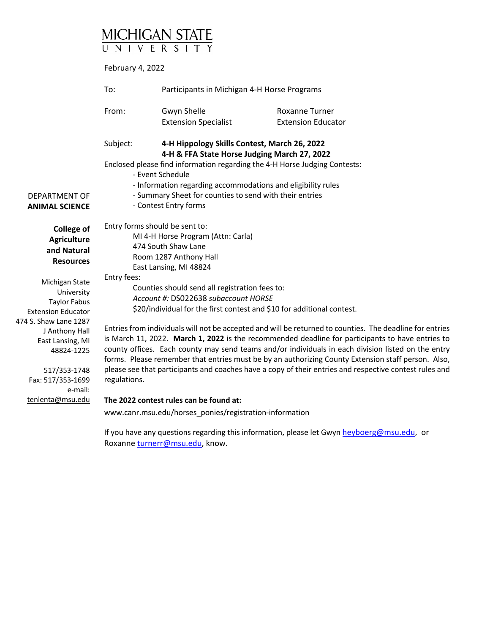# MICHIGAN STATE

February 4, 2022

|                                                                                                                                                                                         | To:                                           | Participants in Michigan 4-H Horse Programs                                                                                                                                                                                                                                                                               |                                                                                                                                                                                                                                                                                                                                                                                                                                                                                                                                    |
|-----------------------------------------------------------------------------------------------------------------------------------------------------------------------------------------|-----------------------------------------------|---------------------------------------------------------------------------------------------------------------------------------------------------------------------------------------------------------------------------------------------------------------------------------------------------------------------------|------------------------------------------------------------------------------------------------------------------------------------------------------------------------------------------------------------------------------------------------------------------------------------------------------------------------------------------------------------------------------------------------------------------------------------------------------------------------------------------------------------------------------------|
|                                                                                                                                                                                         | From:                                         | Gwyn Shelle                                                                                                                                                                                                                                                                                                               | <b>Roxanne Turner</b>                                                                                                                                                                                                                                                                                                                                                                                                                                                                                                              |
|                                                                                                                                                                                         |                                               | <b>Extension Specialist</b>                                                                                                                                                                                                                                                                                               | <b>Extension Educator</b>                                                                                                                                                                                                                                                                                                                                                                                                                                                                                                          |
| DEPARTMENT OF                                                                                                                                                                           | Subject:                                      | 4-H Hippology Skills Contest, March 26, 2022<br>4-H & FFA State Horse Judging March 27, 2022<br>Enclosed please find information regarding the 4-H Horse Judging Contests:<br>- Event Schedule<br>- Information regarding accommodations and eligibility rules<br>- Summary Sheet for counties to send with their entries |                                                                                                                                                                                                                                                                                                                                                                                                                                                                                                                                    |
| <b>ANIMAL SCIENCE</b>                                                                                                                                                                   |                                               | - Contest Entry forms                                                                                                                                                                                                                                                                                                     |                                                                                                                                                                                                                                                                                                                                                                                                                                                                                                                                    |
| <b>College of</b><br><b>Agriculture</b><br>and Natural<br><b>Resources</b><br>Michigan State<br>University<br><b>Taylor Fabus</b><br><b>Extension Educator</b><br>474 S. Shaw Lane 1287 | Entry forms should be sent to:<br>Entry fees: | MI 4-H Horse Program (Attn: Carla)<br>474 South Shaw Lane<br>Room 1287 Anthony Hall<br>East Lansing, MI 48824<br>Counties should send all registration fees to:<br>Account #: DS022638 subaccount HORSE<br>\$20/individual for the first contest and \$10 for additional contest.                                         |                                                                                                                                                                                                                                                                                                                                                                                                                                                                                                                                    |
| J Anthony Hall<br>East Lansing, MI<br>48824-1225<br>517/353-1748<br>Fax: 517/353-1699<br>e-mail:                                                                                        | regulations.                                  |                                                                                                                                                                                                                                                                                                                           | Entries from individuals will not be accepted and will be returned to counties. The deadline for entries<br>is March 11, 2022. March 1, 2022 is the recommended deadline for participants to have entries to<br>county offices. Each county may send teams and/or individuals in each division listed on the entry<br>forms. Please remember that entries must be by an authorizing County Extension staff person. Also,<br>please see that participants and coaches have a copy of their entries and respective contest rules and |
| tenlenta@msu.edu                                                                                                                                                                        |                                               | The 2022 contest rules can be found at:<br>www.canr.msu.edu/horses_ponies/registration-information                                                                                                                                                                                                                        |                                                                                                                                                                                                                                                                                                                                                                                                                                                                                                                                    |

If you have any questions regarding this information, please let Gwyn heyboerg@msu.edu, or Roxanne turnerr@msu.edu, know.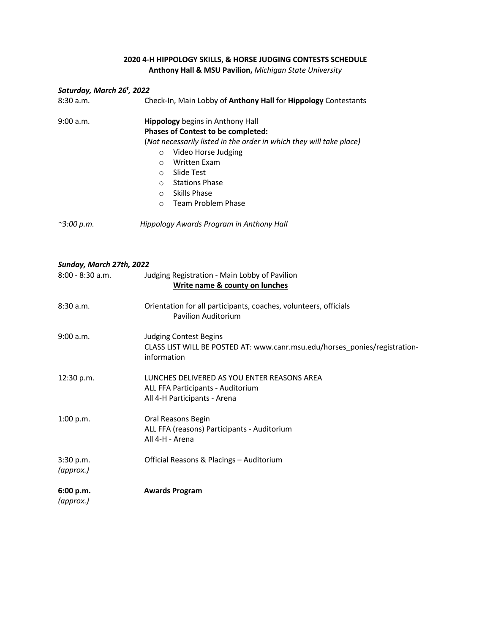## **2020 4-H HIPPOLOGY SKILLS, & HORSE JUDGING CONTESTS SCHEDULE Anthony Hall & MSU Pavilion,** *Michigan State University*

## *Saturday, March 26t , 2022*

| 8:30a.m.   | Check-In, Main Lobby of Anthony Hall for Hippology Contestants                                                                                              |  |  |
|------------|-------------------------------------------------------------------------------------------------------------------------------------------------------------|--|--|
| 9:00 a.m.  | <b>Hippology</b> begins in Anthony Hall<br><b>Phases of Contest to be completed:</b><br>(Not necessarily listed in the order in which they will take place) |  |  |
|            |                                                                                                                                                             |  |  |
|            | Video Horse Judging<br>O                                                                                                                                    |  |  |
|            | <b>Written Exam</b><br>∩                                                                                                                                    |  |  |
|            | Slide Test<br>$\circ$                                                                                                                                       |  |  |
|            | <b>Stations Phase</b><br>$\bigcirc$                                                                                                                         |  |  |
|            | Skills Phase<br>$\Omega$                                                                                                                                    |  |  |
|            | Team Problem Phase<br>$\Omega$                                                                                                                              |  |  |
| ~3:00 p.m. | Hippology Awards Program in Anthony Hall                                                                                                                    |  |  |

## *Sunday, March 27th, 2022*

| $8:00 - 8:30$ a.m.     | Judging Registration - Main Lobby of Pavilion<br>Write name & county on lunches                                            |
|------------------------|----------------------------------------------------------------------------------------------------------------------------|
| 8:30a.m.               | Orientation for all participants, coaches, volunteers, officials<br><b>Pavilion Auditorium</b>                             |
| 9:00 a.m.              | <b>Judging Contest Begins</b><br>CLASS LIST WILL BE POSTED AT: www.canr.msu.edu/horses_ponies/registration-<br>information |
| 12:30 p.m.             | LUNCHES DELIVERED AS YOU ENTER REASONS AREA<br>ALL FFA Participants - Auditorium<br>All 4-H Participants - Arena           |
| 1:00 p.m.              | Oral Reasons Begin<br>ALL FFA (reasons) Participants - Auditorium<br>All 4-H - Arena                                       |
| 3:30 p.m.<br>(approx.) | Official Reasons & Placings - Auditorium                                                                                   |
| 6:00 p.m.              | <b>Awards Program</b>                                                                                                      |

*(approx.)*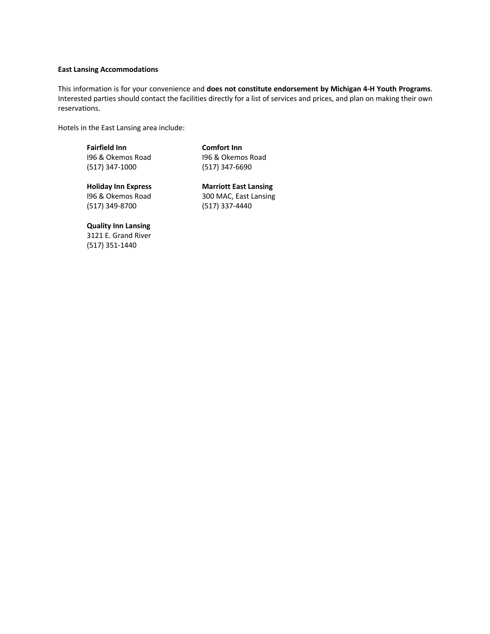#### **East Lansing Accommodations**

This information is for your convenience and **does not constitute endorsement by Michigan 4-H Youth Programs**. Interested parties should contact the facilities directly for a list of services and prices, and plan on making their own reservations.

Hotels in the East Lansing area include:

Fairfield Inn **Comfort Inn** I96 & Okemos Road I96 & Okemos Road (517) 347-1000 (517) 347-6690

**Holiday Inn Express Marriott East Lansing** I96 & Okemos Road 300 MAC, East Lansing (517) 349-8700 (517) 337-4440

**Quality Inn Lansing**  3121 E. Grand River (517) 351-1440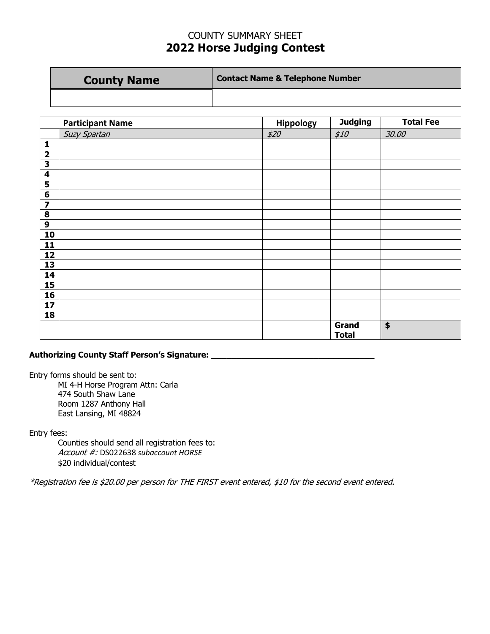## COUNTY SUMMARY SHEET **2022 Horse Judging Contest**

| <b>County Name</b> | <b>Contact Name &amp; Telephone Number</b> |
|--------------------|--------------------------------------------|
|                    |                                            |

|                         | <b>Participant Name</b> | Hippology | <b>Judging</b> | <b>Total Fee</b> |
|-------------------------|-------------------------|-----------|----------------|------------------|
|                         | Suzy Spartan            | \$20      | \$10           | 30.00            |
| 1                       |                         |           |                |                  |
| $\overline{\mathbf{2}}$ |                         |           |                |                  |
| $\overline{\mathbf{3}}$ |                         |           |                |                  |
| $\overline{\mathbf{4}}$ |                         |           |                |                  |
| 5                       |                         |           |                |                  |
| $\boldsymbol{6}$        |                         |           |                |                  |
| $\overline{\mathbf{z}}$ |                         |           |                |                  |
| $\pmb{8}$               |                         |           |                |                  |
| $\boldsymbol{9}$        |                         |           |                |                  |
| 10                      |                         |           |                |                  |
| 11                      |                         |           |                |                  |
| 12                      |                         |           |                |                  |
| 13                      |                         |           |                |                  |
| 14                      |                         |           |                |                  |
| 15                      |                         |           |                |                  |
| 16                      |                         |           |                |                  |
| 17                      |                         |           |                |                  |
| 18                      |                         |           |                |                  |
|                         |                         |           | Grand          | $\pmb{\$}$       |
|                         |                         |           | <b>Total</b>   |                  |

## **Authorizing County Staff Person's Signature: \_\_\_\_\_\_\_\_\_\_\_\_\_\_\_\_\_\_\_\_\_\_\_\_\_\_\_\_\_\_\_\_**

Entry forms should be sent to: MI 4-H Horse Program Attn: Carla

474 South Shaw Lane Room 1287 Anthony Hall East Lansing, MI 48824

Entry fees:

Counties should send all registration fees to: Account #: DS022638 *subaccount HORSE* \$20 individual/contest

\*Registration fee is \$20.00 per person for THE FIRST event entered, \$10 for the second event entered.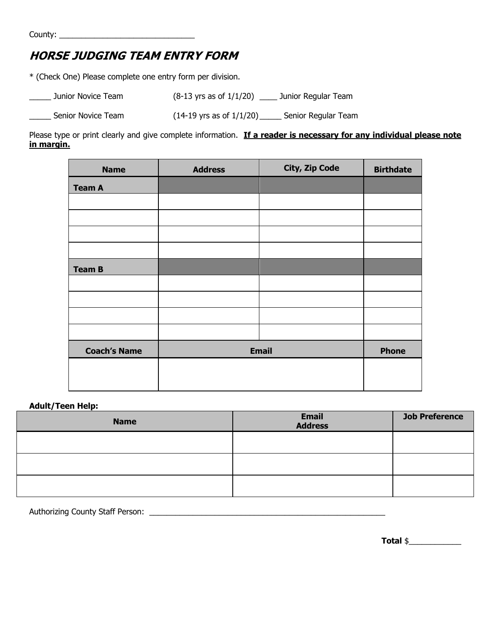# **HORSE JUDGING TEAM ENTRY FORM**

\* (Check One) Please complete one entry form per division.

| Junior Novice Team | $(8-13 \text{ yrs as of } 1/1/20)$  | Junior Regular Team |
|--------------------|-------------------------------------|---------------------|
| Senior Novice Team | $(14-19 \text{ yrs as of } 1/1/20)$ | Senior Regular Team |

Please type or print clearly and give complete information. If a reader is necessary for any individual please note **in margin.**

| <b>Name</b>         | <b>Address</b> | City, Zip Code | <b>Birthdate</b> |
|---------------------|----------------|----------------|------------------|
| <b>Team A</b>       |                |                |                  |
|                     |                |                |                  |
|                     |                |                |                  |
|                     |                |                |                  |
|                     |                |                |                  |
| <b>Team B</b>       |                |                |                  |
|                     |                |                |                  |
|                     |                |                |                  |
|                     |                |                |                  |
|                     |                |                |                  |
| <b>Coach's Name</b> |                | <b>Email</b>   | <b>Phone</b>     |
|                     |                |                |                  |
|                     |                |                |                  |

## **Adult/Teen Help:**

| <b>Name</b> | <b>Email</b><br><b>Address</b> | <b>Job Preference</b> |
|-------------|--------------------------------|-----------------------|
|             |                                |                       |
|             |                                |                       |
|             |                                |                       |

Authorizing County Staff Person: \_\_\_\_\_\_\_\_\_\_\_\_\_\_\_\_\_\_\_\_\_\_\_\_\_\_\_\_\_\_\_\_\_\_\_\_\_\_\_\_\_\_\_\_\_\_\_\_\_\_\_\_\_\_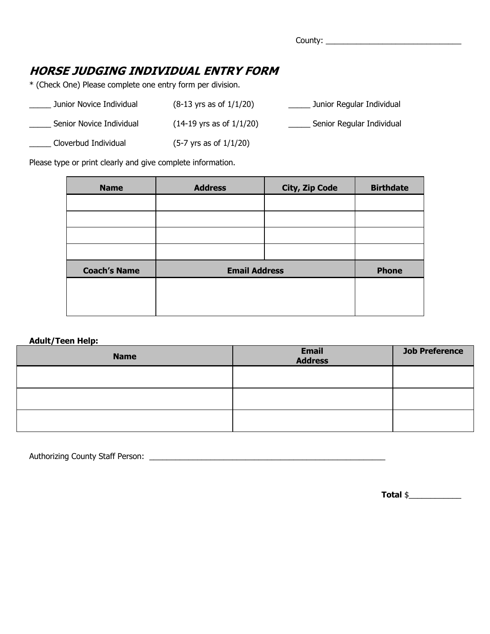County: \_\_\_\_\_\_\_\_\_\_\_\_\_\_\_\_\_\_\_\_\_\_\_\_\_\_\_\_\_\_\_

## **HORSE JUDGING INDIVIDUAL ENTRY FORM**

\* (Check One) Please complete one entry form per division.

| Junior Novice Individual | $(8-13 \text{ yrs as of } 1/1/20)$  | Junior Regular Individual |
|--------------------------|-------------------------------------|---------------------------|
| Senior Novice Individual | $(14-19 \text{ yrs as of } 1/1/20)$ | Senior Regular Individual |
| Cloverbud Individual     | $(5-7 \text{ yrs as of } 1/1/20)$   |                           |

Please type or print clearly and give complete information.

| <b>Name</b>         | <b>Address</b>       | <b>City, Zip Code</b> | <b>Birthdate</b> |
|---------------------|----------------------|-----------------------|------------------|
|                     |                      |                       |                  |
|                     |                      |                       |                  |
|                     |                      |                       |                  |
|                     |                      |                       |                  |
| <b>Coach's Name</b> | <b>Email Address</b> |                       | <b>Phone</b>     |
|                     |                      |                       |                  |
|                     |                      |                       |                  |
|                     |                      |                       |                  |

## **Adult/Teen Help:**

| <b>Name</b> | <b>Email</b><br><b>Address</b> | <b>Job Preference</b> |
|-------------|--------------------------------|-----------------------|
|             |                                |                       |
|             |                                |                       |
|             |                                |                       |

Authorizing County Staff Person: \_\_\_\_\_\_\_\_\_\_\_\_\_\_\_\_\_\_\_\_\_\_\_\_\_\_\_\_\_\_\_\_\_\_\_\_\_\_\_\_\_\_\_\_\_\_\_\_\_\_\_\_\_\_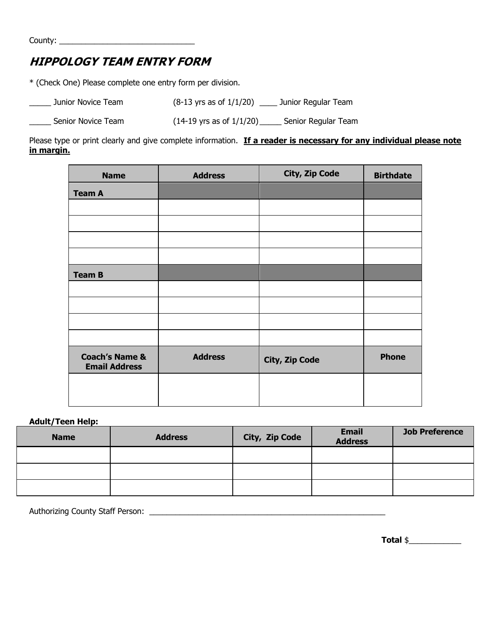County: \_\_\_\_\_\_\_\_\_\_\_\_\_\_\_\_\_\_\_\_\_\_\_\_\_\_\_\_\_\_\_

# **HIPPOLOGY TEAM ENTRY FORM**

\* (Check One) Please complete one entry form per division.

| Junior Novice Team | $(8-13 \text{ yrs as of } 1/1/20)$  | Junior Regular Team |
|--------------------|-------------------------------------|---------------------|
| Senior Novice Team | $(14-19 \text{ yrs as of } 1/1/20)$ | Senior Regular Team |

Please type or print clearly and give complete information. If a reader is necessary for any individual please note **in margin.**

| <b>Name</b>                                       | <b>Address</b> | City, Zip Code        | <b>Birthdate</b> |
|---------------------------------------------------|----------------|-----------------------|------------------|
| <b>Team A</b>                                     |                |                       |                  |
|                                                   |                |                       |                  |
|                                                   |                |                       |                  |
|                                                   |                |                       |                  |
|                                                   |                |                       |                  |
| <b>Team B</b>                                     |                |                       |                  |
|                                                   |                |                       |                  |
|                                                   |                |                       |                  |
|                                                   |                |                       |                  |
|                                                   |                |                       |                  |
| <b>Coach's Name &amp;</b><br><b>Email Address</b> | <b>Address</b> | <b>City, Zip Code</b> | <b>Phone</b>     |
|                                                   |                |                       |                  |
|                                                   |                |                       |                  |

## **Adult/Teen Help:**

| <b>Name</b> | <b>Address</b> | City, Zip Code | <b>Email</b><br><b>Address</b> | <b>Job Preference</b> |
|-------------|----------------|----------------|--------------------------------|-----------------------|
|             |                |                |                                |                       |
|             |                |                |                                |                       |
|             |                |                |                                |                       |

Authorizing County Staff Person: \_\_\_\_\_\_\_\_\_\_\_\_\_\_\_\_\_\_\_\_\_\_\_\_\_\_\_\_\_\_\_\_\_\_\_\_\_\_\_\_\_\_\_\_\_\_\_\_\_\_\_\_\_\_